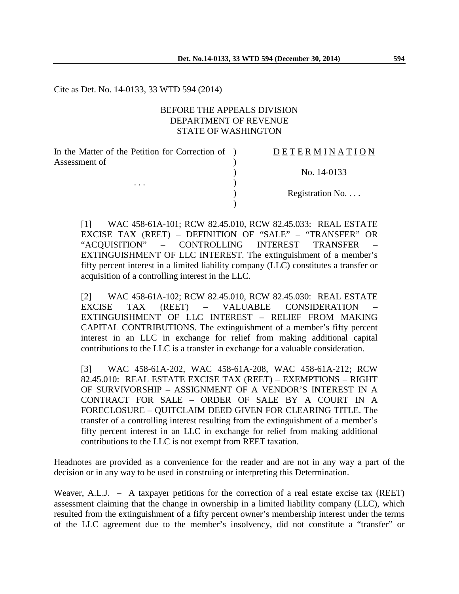Cite as Det. No. 14-0133, 33 WTD 594 (2014)

#### BEFORE THE APPEALS DIVISION DEPARTMENT OF REVENUE STATE OF WASHINGTON

 $\lambda$ 

 $\lambda$ 

In the Matter of the Petition for Correction of ) Assessment of

. . .  $\qquad\qquad\qquad\qquad$ 

#### D E T E R M I N A T I O N

) No. 14-0133

) Registration No. . . .

[1] WAC 458-61A-101; RCW 82.45.010, RCW 82.45.033: REAL ESTATE EXCISE TAX (REET) – DEFINITION OF "SALE" – "TRANSFER" OR "ACQUISITION" – CONTROLLING INTEREST TRANSFER – EXTINGUISHMENT OF LLC INTEREST. The extinguishment of a member's fifty percent interest in a limited liability company (LLC) constitutes a transfer or acquisition of a controlling interest in the LLC.

[2] WAC 458-61A-102; RCW 82.45.010, RCW 82.45.030: REAL ESTATE EXCISE TAX (REET) – VALUABLE CONSIDERATION – EXTINGUISHMENT OF LLC INTEREST – RELIEF FROM MAKING CAPITAL CONTRIBUTIONS. The extinguishment of a member's fifty percent interest in an LLC in exchange for relief from making additional capital contributions to the LLC is a transfer in exchange for a valuable consideration.

[3] WAC 458-61A-202, WAC 458-61A-208, WAC 458-61A-212; RCW 82.45.010: REAL ESTATE EXCISE TAX (REET) – EXEMPTIONS – RIGHT OF SURVIVORSHIP – ASSIGNMENT OF A VENDOR'S INTEREST IN A CONTRACT FOR SALE – ORDER OF SALE BY A COURT IN A FORECLOSURE – QUITCLAIM DEED GIVEN FOR CLEARING TITLE. The transfer of a controlling interest resulting from the extinguishment of a member's fifty percent interest in an LLC in exchange for relief from making additional contributions to the LLC is not exempt from REET taxation.

Headnotes are provided as a convenience for the reader and are not in any way a part of the decision or in any way to be used in construing or interpreting this Determination.

Weaver, A.L.J. – A taxpayer petitions for the correction of a real estate excise tax (REET) assessment claiming that the change in ownership in a limited liability company (LLC), which resulted from the extinguishment of a fifty percent owner's membership interest under the terms of the LLC agreement due to the member's insolvency, did not constitute a "transfer" or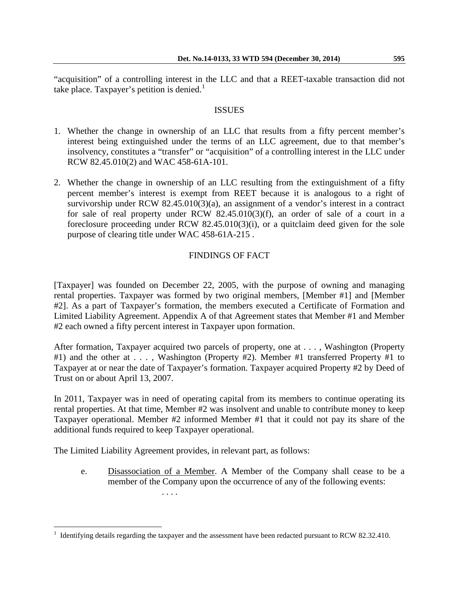"acquisition" of a controlling interest in the LLC and that a REET-taxable transaction did not take place. Taxpayer's petition is denied. $1$ 

#### **ISSUES**

- 1. Whether the change in ownership of an LLC that results from a fifty percent member's interest being extinguished under the terms of an LLC agreement, due to that member's insolvency, constitutes a "transfer" or "acquisition" of a controlling interest in the LLC under RCW 82.45.010(2) and WAC 458-61A-101.
- 2. Whether the change in ownership of an LLC resulting from the extinguishment of a fifty percent member's interest is exempt from REET because it is analogous to a right of survivorship under RCW 82.45.010(3)(a), an assignment of a vendor's interest in a contract for sale of real property under RCW 82.45.010(3)(f), an order of sale of a court in a foreclosure proceeding under RCW 82.45.010(3)(i), or a quitclaim deed given for the sole purpose of clearing title under WAC 458-61A-215 .

# FINDINGS OF FACT

[Taxpayer] was founded on December 22, 2005, with the purpose of owning and managing rental properties. Taxpayer was formed by two original members, [Member #1] and [Member #2]. As a part of Taxpayer's formation, the members executed a Certificate of Formation and Limited Liability Agreement. Appendix A of that Agreement states that Member #1 and Member #2 each owned a fifty percent interest in Taxpayer upon formation.

After formation, Taxpayer acquired two parcels of property, one at . . . , Washington (Property #1) and the other at . . . , Washington (Property #2). Member #1 transferred Property #1 to Taxpayer at or near the date of Taxpayer's formation. Taxpayer acquired Property #2 by Deed of Trust on or about April 13, 2007.

In 2011, Taxpayer was in need of operating capital from its members to continue operating its rental properties. At that time, Member #2 was insolvent and unable to contribute money to keep Taxpayer operational. Member #2 informed Member #1 that it could not pay its share of the additional funds required to keep Taxpayer operational.

The Limited Liability Agreement provides, in relevant part, as follows:

. . . .

 $\overline{a}$ 

e. Disassociation of a Member. A Member of the Company shall cease to be a member of the Company upon the occurrence of any of the following events:

<span id="page-1-0"></span><sup>1</sup> Identifying details regarding the taxpayer and the assessment have been redacted pursuant to RCW 82.32.410.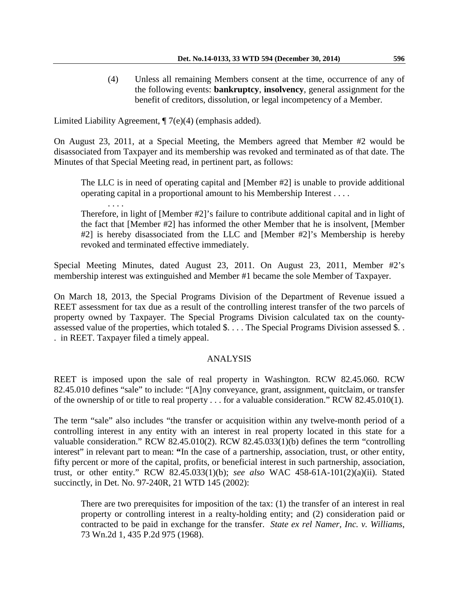(4) Unless all remaining Members consent at the time, occurrence of any of the following events: **bankruptcy**, **insolvency**, general assignment for the benefit of creditors, dissolution, or legal incompetency of a Member.

Limited Liability Agreement, ¶ 7(e)(4) (emphasis added).

On August 23, 2011, at a Special Meeting, the Members agreed that Member #2 would be disassociated from Taxpayer and its membership was revoked and terminated as of that date. The Minutes of that Special Meeting read, in pertinent part, as follows:

The LLC is in need of operating capital and [Member  $\#2$ ] is unable to provide additional operating capital in a proportional amount to his Membership Interest . . . .

. . . . Therefore, in light of [Member #2]'s failure to contribute additional capital and in light of the fact that [Member #2] has informed the other Member that he is insolvent, [Member #2] is hereby disassociated from the LLC and [Member #2]'s Membership is hereby revoked and terminated effective immediately.

Special Meeting Minutes, dated August 23, 2011. On August 23, 2011, Member #2's membership interest was extinguished and Member #1 became the sole Member of Taxpayer.

On March 18, 2013, the Special Programs Division of the Department of Revenue issued a REET assessment for tax due as a result of the controlling interest transfer of the two parcels of property owned by Taxpayer. The Special Programs Division calculated tax on the countyassessed value of the properties, which totaled \$. . . . The Special Programs Division assessed \$. . . in REET. Taxpayer filed a timely appeal.

# ANALYSIS

REET is imposed upon the sale of real property in Washington. RCW 82.45.060. RCW 82.45.010 defines "sale" to include: "[A]ny conveyance, grant, assignment, quitclaim, or transfer of the ownership of or title to real property . . . for a valuable consideration." RCW 82.45.010(1).

The term "sale" also includes "the transfer or acquisition within any twelve-month period of a controlling interest in any entity with an interest in real property located in this state for a valuable consideration." RCW 82.45.010(2). RCW 82.45.033(1)(b) defines the term "controlling interest" in relevant part to mean: **"**In the case of a partnership, association, trust, or other entity, fifty percent or more of the capital, profits, or beneficial interest in such partnership, association, trust, or other entity." RCW 82.45.033(1)(b); *see also* WAC 458-61A-101(2)(a)(ii). Stated succinctly, in Det. No. 97-240R, 21 WTD 145 (2002):

There are two prerequisites for imposition of the tax: (1) the transfer of an interest in real property or controlling interest in a realty-holding entity; and (2) consideration paid or contracted to be paid in exchange for the transfer. *State ex rel Namer, Inc. v. Williams*, 73 Wn.2d 1, 435 P.2d 975 (1968).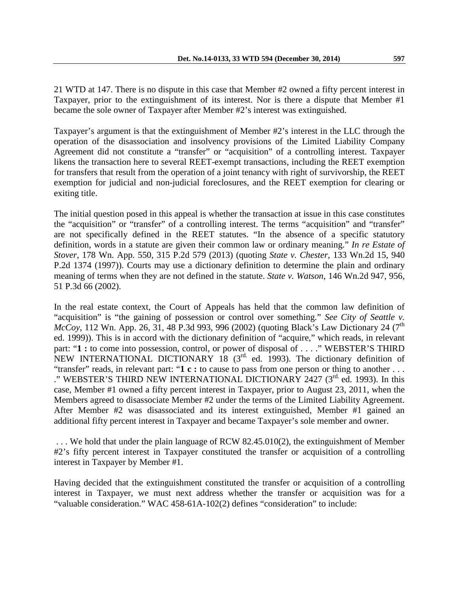21 WTD at 147. There is no dispute in this case that Member #2 owned a fifty percent interest in Taxpayer, prior to the extinguishment of its interest. Nor is there a dispute that Member #1 became the sole owner of Taxpayer after Member #2's interest was extinguished.

Taxpayer's argument is that the extinguishment of Member #2's interest in the LLC through the operation of the disassociation and insolvency provisions of the Limited Liability Company Agreement did not constitute a "transfer" or "acquisition" of a controlling interest. Taxpayer likens the transaction here to several REET-exempt transactions, including the REET exemption for transfers that result from the operation of a joint tenancy with right of survivorship, the REET exemption for judicial and non-judicial foreclosures, and the REET exemption for clearing or exiting title.

The initial question posed in this appeal is whether the transaction at issue in this case constitutes the "acquisition" or "transfer" of a controlling interest. The terms "acquisition" and "transfer" are not specifically defined in the REET statutes. "In the absence of a specific statutory definition, words in a statute are given their common law or ordinary meaning." *In re Estate of Stover*, 178 Wn. App. 550, 315 P.2d 579 (2013) (quoting *State v. Chester*, 133 Wn.2d 15, 940 P.2d 1374 (1997)). Courts may use a dictionary definition to determine the plain and ordinary meaning of terms when they are not defined in the statute. *State v. Watson*, 146 Wn.2d 947, 956, 51 P.3d 66 (2002).

In the real estate context, the Court of Appeals has held that the common law definition of "acquisition" is "the gaining of possession or control over something." *See City of Seattle v. McCoy*, 112 Wn. App. 26, 31, 48 P.3d 993, 996 (2002) (quoting Black's Law Dictionary 24 (7<sup>th</sup>) ed. 1999)). This is in accord with the dictionary definition of "acquire," which reads, in relevant part: "**1** : to come into possession, control, or power of disposal of . . . ." WEBSTER'S THIRD NEW INTERNATIONAL DICTIONARY 18 ( $3<sup>rd</sup>$  ed. 1993). The dictionary definition of "transfer" reads, in relevant part: "**1 c :** to cause to pass from one person or thing to another . . . ." WEBSTER'S THIRD NEW INTERNATIONAL DICTIONARY 2427 (3rd. ed. 1993). In this case, Member #1 owned a fifty percent interest in Taxpayer, prior to August 23, 2011, when the Members agreed to disassociate Member #2 under the terms of the Limited Liability Agreement. After Member #2 was disassociated and its interest extinguished, Member #1 gained an additional fifty percent interest in Taxpayer and became Taxpayer's sole member and owner.

. . . We hold that under the plain language of RCW 82.45.010(2), the extinguishment of Member #2's fifty percent interest in Taxpayer constituted the transfer or acquisition of a controlling interest in Taxpayer by Member #1.

Having decided that the extinguishment constituted the transfer or acquisition of a controlling interest in Taxpayer, we must next address whether the transfer or acquisition was for a "valuable consideration." WAC 458-61A-102(2) defines "consideration" to include: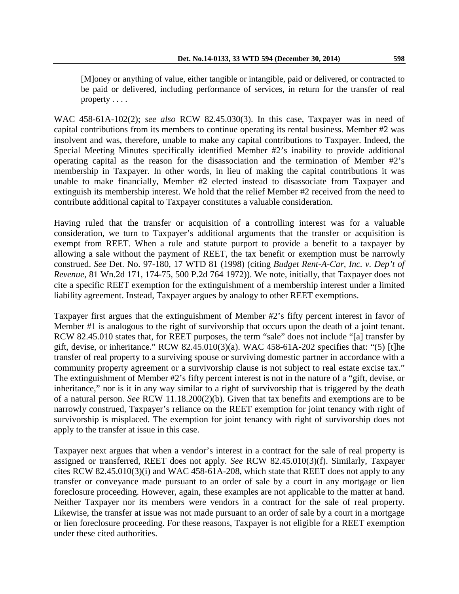be paid or delivered, including performance of services, in return for the transfer of real property . . . .

WAC 458-61A-102(2); *see also* RCW 82.45.030(3). In this case, Taxpayer was in need of capital contributions from its members to continue operating its rental business. Member #2 was insolvent and was, therefore, unable to make any capital contributions to Taxpayer. Indeed, the Special Meeting Minutes specifically identified Member #2's inability to provide additional operating capital as the reason for the disassociation and the termination of Member #2's membership in Taxpayer. In other words, in lieu of making the capital contributions it was unable to make financially, Member #2 elected instead to disassociate from Taxpayer and extinguish its membership interest. We hold that the relief Member #2 received from the need to contribute additional capital to Taxpayer constitutes a valuable consideration.

Having ruled that the transfer or acquisition of a controlling interest was for a valuable consideration, we turn to Taxpayer's additional arguments that the transfer or acquisition is exempt from REET. When a rule and statute purport to provide a benefit to a taxpayer by allowing a sale without the payment of REET, the tax benefit or exemption must be narrowly construed. *See* Det. No. 97-180, 17 WTD 81 (1998) (citing *Budget Rent-A-Car, Inc. v. Dep't of Revenue*, 81 Wn.2d 171, 174-75, 500 P.2d 764 1972)). We note, initially, that Taxpayer does not cite a specific REET exemption for the extinguishment of a membership interest under a limited liability agreement. Instead, Taxpayer argues by analogy to other REET exemptions.

Taxpayer first argues that the extinguishment of Member #2's fifty percent interest in favor of Member #1 is analogous to the right of survivorship that occurs upon the death of a joint tenant. RCW 82.45.010 states that, for REET purposes, the term "sale" does not include "[a] transfer by gift, devise, or inheritance." RCW  $82.45.010(3)(a)$ . WAC  $458-61A-202$  specifies that: "(5) [t]he transfer of real property to a surviving spouse or surviving domestic partner in accordance with a community property agreement or a survivorship clause is not subject to real estate excise tax." The extinguishment of Member #2's fifty percent interest is not in the nature of a "gift, devise, or inheritance," nor is it in any way similar to a right of survivorship that is triggered by the death of a natural person. *See* RCW 11.18.200(2)(b). Given that tax benefits and exemptions are to be narrowly construed, Taxpayer's reliance on the REET exemption for joint tenancy with right of survivorship is misplaced. The exemption for joint tenancy with right of survivorship does not apply to the transfer at issue in this case.

Taxpayer next argues that when a vendor's interest in a contract for the sale of real property is assigned or transferred, REET does not apply. *See* RCW 82.45.010(3)(f). Similarly, Taxpayer cites RCW 82.45.010(3)(i) and WAC 458-61A-208, which state that REET does not apply to any transfer or conveyance made pursuant to an order of sale by a court in any mortgage or lien foreclosure proceeding. However, again, these examples are not applicable to the matter at hand. Neither Taxpayer nor its members were vendors in a contract for the sale of real property. Likewise, the transfer at issue was not made pursuant to an order of sale by a court in a mortgage or lien foreclosure proceeding. For these reasons, Taxpayer is not eligible for a REET exemption under these cited authorities.